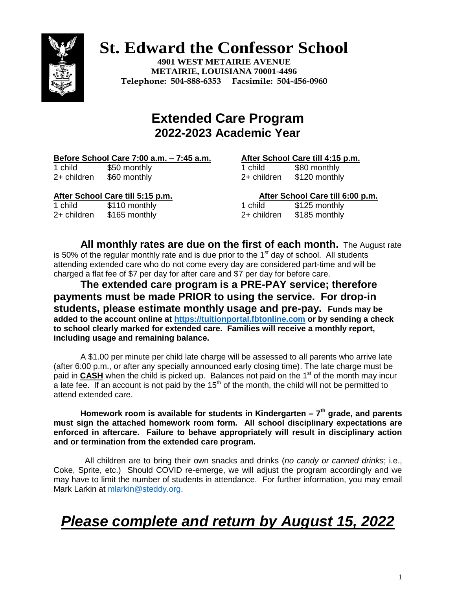# **St. Edward the Confessor School**

**4901 WEST METAIRIE AVENUE METAIRIE, LOUISIANA 70001-4496 Telephone: 504-888-6353 Facsimile: 504-456-0960**



## **Extended Care Program 2022-2023 Academic Year**

### **Before School Care 7:00 a.m. – 7:45 a.m. After School Care till 4:15 p.m.**

1 child \$50 monthly  $2+$  children  $$60$  monthly

| 1 child     | \$80 monthly  |
|-------------|---------------|
| 2+ children | \$120 monthly |

1 child \$110 monthly  $2+$  children  $$165$  monthly

**After School Care till 5:15 p.m. After School Care till 6:00 p.m.**

| 1 child     | \$125 monthly |
|-------------|---------------|
| 2+ children | \$185 monthly |

**All monthly rates are due on the first of each month.** The August rate is 50% of the regular monthly rate and is due prior to the  $1<sup>st</sup>$  day of school. All students attending extended care who do not come every day are considered part-time and will be charged a flat fee of \$7 per day for after care and \$7 per day for before care.

**The extended care program is a PRE-PAY service; therefore payments must be made PRIOR to using the service. For drop-in students, please estimate monthly usage and pre-pay. Funds may be added to the account online at [https://tuitionportal.fbtonline.com](https://tuitionportal.fbtonline.com/) or by sending a check to school clearly marked for extended care. Families will receive a monthly report, including usage and remaining balance.**

A \$1.00 per minute per child late charge will be assessed to all parents who arrive late (after 6:00 p.m., or after any specially announced early closing time). The late charge must be paid in **CASH** when the child is picked up. Balances not paid on the 1<sup>st</sup> of the month may incur a late fee. If an account is not paid by the  $15<sup>th</sup>$  of the month, the child will not be permitted to attend extended care.

### **Homework room is available for students in Kindergarten – 7 th grade, and parents must sign the attached homework room form. All school disciplinary expectations are enforced in aftercare. Failure to behave appropriately will result in disciplinary action and or termination from the extended care program.**

All children are to bring their own snacks and drinks (*no candy or canned drinks*; i.e., Coke, Sprite, etc.) Should COVID re-emerge, we will adjust the program accordingly and we may have to limit the number of students in attendance. For further information, you may email Mark Larkin at [mlarkin@steddy.org.](mailto:mlarkin@steddy.org)

## *Please complete and return by August 15, 2022*